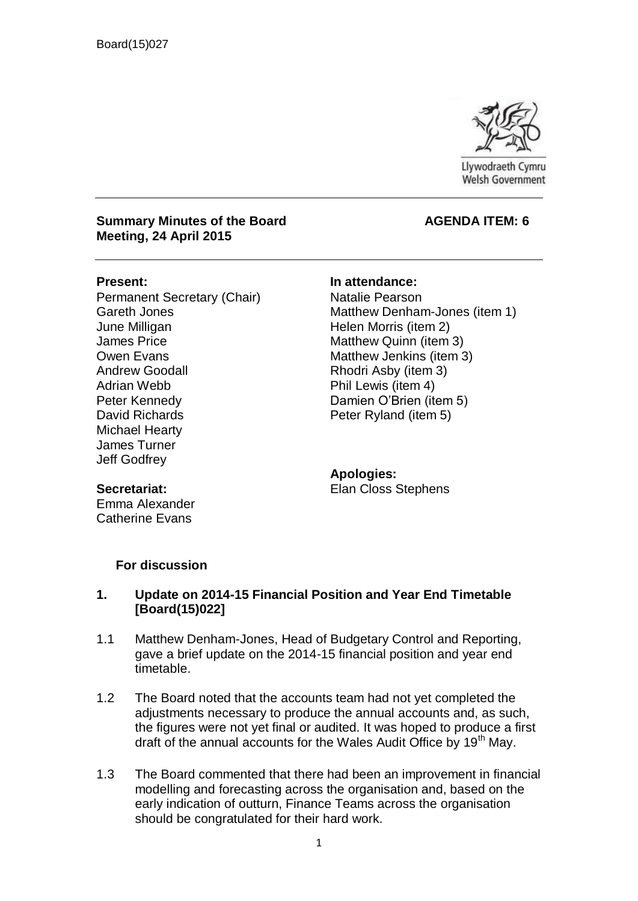

Llywodraeth Cymru **Welsh Government** 

#### **Summary Minutes of the Board AGENDA ITEM: 6 Meeting, 24 April 2015**

Permanent Secretary (Chair) Gareth Jones June Milligan James Price Owen Evans Andrew Goodall Adrian Webb Peter Kennedy David Richards Michael Hearty James Turner Jeff Godfrey

**Present: In attendance:**

Natalie Pearson Matthew Denham-Jones (item 1) Helen Morris (item 2) Matthew Quinn (item 3) Matthew Jenkins (item 3) Rhodri Asby (item 3) Phil Lewis (item 4) Damien O'Brien (item 5) Peter Ryland (item 5)

**Apologies:** Elan Closs Stephens

## **Secretariat:**

Emma Alexander Catherine Evans

### **For discussion**

### **1. Update on 2014-15 Financial Position and Year End Timetable [Board(15)022]**

- 1.1 Matthew Denham-Jones, Head of Budgetary Control and Reporting, gave a brief update on the 2014-15 financial position and year end timetable.
- 1.2 The Board noted that the accounts team had not yet completed the adjustments necessary to produce the annual accounts and, as such, the figures were not yet final or audited. It was hoped to produce a first draft of the annual accounts for the Wales Audit Office by 19<sup>th</sup> May.
- 1.3 The Board commented that there had been an improvement in financial modelling and forecasting across the organisation and, based on the early indication of outturn, Finance Teams across the organisation should be congratulated for their hard work.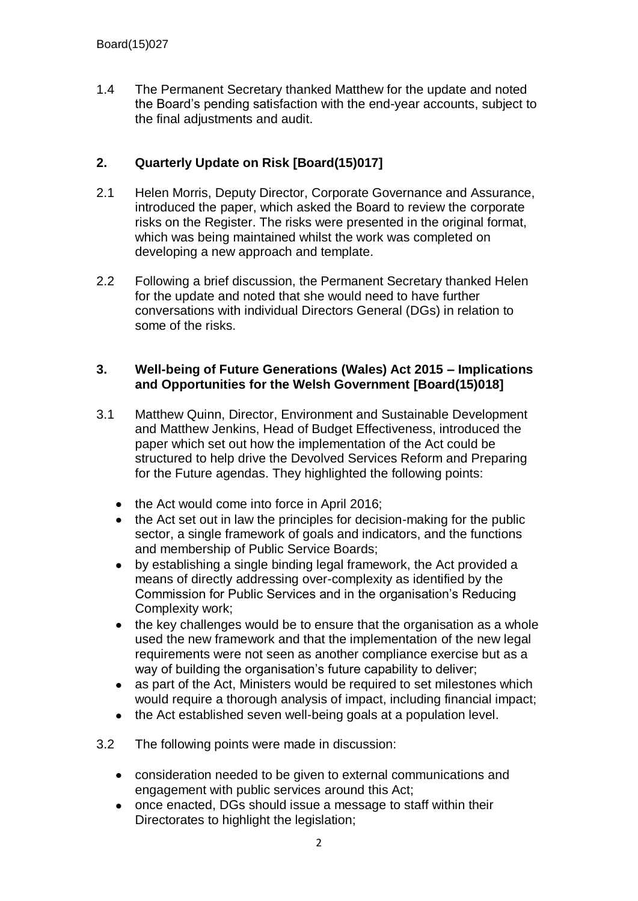1.4 The Permanent Secretary thanked Matthew for the update and noted the Board's pending satisfaction with the end-year accounts, subject to the final adjustments and audit.

## **2. Quarterly Update on Risk [Board(15)017]**

- 2.1 Helen Morris, Deputy Director, Corporate Governance and Assurance, introduced the paper, which asked the Board to review the corporate risks on the Register. The risks were presented in the original format, which was being maintained whilst the work was completed on developing a new approach and template.
- 2.2 Following a brief discussion, the Permanent Secretary thanked Helen for the update and noted that she would need to have further conversations with individual Directors General (DGs) in relation to some of the risks.

## **3. Well-being of Future Generations (Wales) Act 2015 – Implications and Opportunities for the Welsh Government [Board(15)018]**

- 3.1 Matthew Quinn, Director, Environment and Sustainable Development and Matthew Jenkins, Head of Budget Effectiveness, introduced the paper which set out how the implementation of the Act could be structured to help drive the Devolved Services Reform and Preparing for the Future agendas. They highlighted the following points:
	- the Act would come into force in April 2016;
	- the Act set out in law the principles for decision-making for the public sector, a single framework of goals and indicators, and the functions and membership of Public Service Boards;
	- by establishing a single binding legal framework, the Act provided a  $\bullet$ means of directly addressing over-complexity as identified by the Commission for Public Services and in the organisation's Reducing Complexity work;
	- $\bullet$ the key challenges would be to ensure that the organisation as a whole used the new framework and that the implementation of the new legal requirements were not seen as another compliance exercise but as a way of building the organisation's future capability to deliver;
	- as part of the Act, Ministers would be required to set milestones which  $\bullet$ would require a thorough analysis of impact, including financial impact;
	- $\bullet$ the Act established seven well-being goals at a population level.
- 3.2 The following points were made in discussion:
	- consideration needed to be given to external communications and engagement with public services around this Act;
	- once enacted, DGs should issue a message to staff within their  $\bullet$ Directorates to highlight the legislation;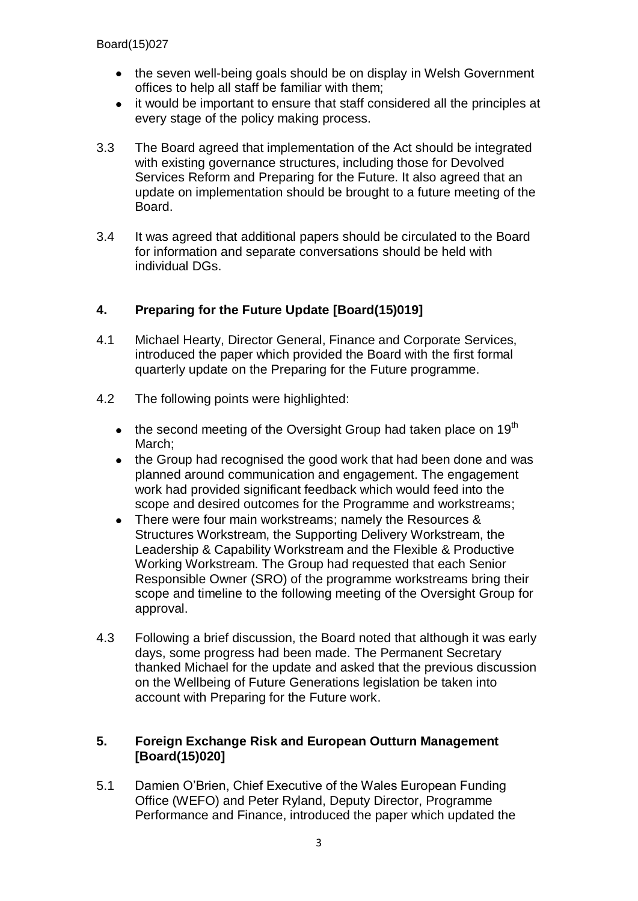- the seven well-being goals should be on display in Welsh Government offices to help all staff be familiar with them;
- it would be important to ensure that staff considered all the principles at every stage of the policy making process.
- 3.3 The Board agreed that implementation of the Act should be integrated with existing governance structures, including those for Devolved Services Reform and Preparing for the Future. It also agreed that an update on implementation should be brought to a future meeting of the Board.
- 3.4 It was agreed that additional papers should be circulated to the Board for information and separate conversations should be held with individual DGs.

## **4. Preparing for the Future Update [Board(15)019]**

- 4.1 Michael Hearty, Director General, Finance and Corporate Services, introduced the paper which provided the Board with the first formal quarterly update on the Preparing for the Future programme.
- 4.2 The following points were highlighted:
	- $\bullet$  the second meeting of the Oversight Group had taken place on 19<sup>th</sup> March;
	- the Group had recognised the good work that had been done and was  $\bullet$ planned around communication and engagement. The engagement work had provided significant feedback which would feed into the scope and desired outcomes for the Programme and workstreams;
	- There were four main workstreams; namely the Resources & Structures Workstream, the Supporting Delivery Workstream, the Leadership & Capability Workstream and the Flexible & Productive Working Workstream. The Group had requested that each Senior Responsible Owner (SRO) of the programme workstreams bring their scope and timeline to the following meeting of the Oversight Group for approval.
- 4.3 Following a brief discussion, the Board noted that although it was early days, some progress had been made. The Permanent Secretary thanked Michael for the update and asked that the previous discussion on the Wellbeing of Future Generations legislation be taken into account with Preparing for the Future work.

## **5. Foreign Exchange Risk and European Outturn Management [Board(15)020]**

5.1 Damien O'Brien, Chief Executive of the Wales European Funding Office (WEFO) and Peter Ryland, Deputy Director, Programme Performance and Finance, introduced the paper which updated the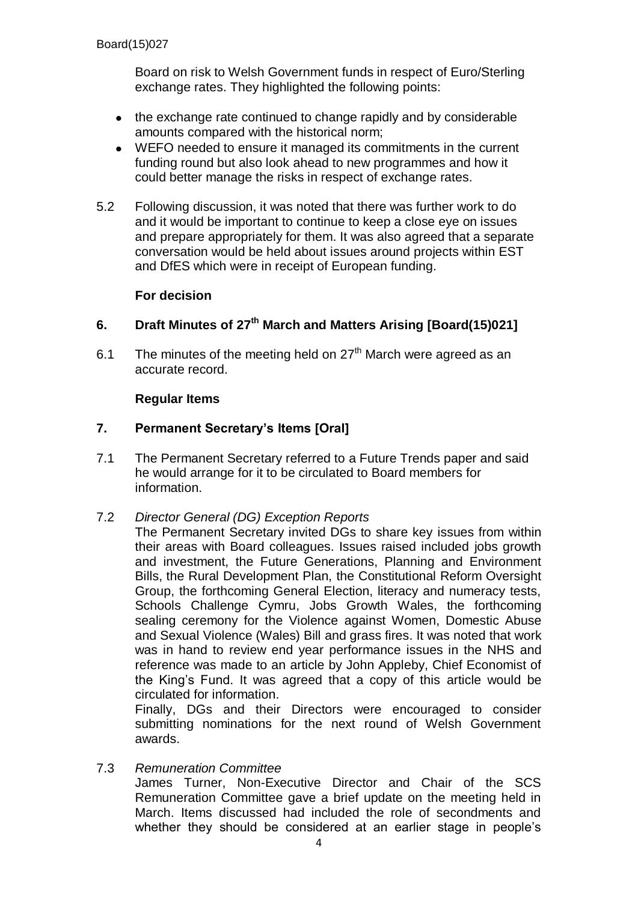Board on risk to Welsh Government funds in respect of Euro/Sterling exchange rates. They highlighted the following points:

- the exchange rate continued to change rapidly and by considerable amounts compared with the historical norm;
- $\bullet$ WEFO needed to ensure it managed its commitments in the current funding round but also look ahead to new programmes and how it could better manage the risks in respect of exchange rates.
- 5.2 Following discussion, it was noted that there was further work to do and it would be important to continue to keep a close eye on issues and prepare appropriately for them. It was also agreed that a separate conversation would be held about issues around projects within EST and DfES which were in receipt of European funding.

## **For decision**

# **6. Draft Minutes of 27th March and Matters Arising [Board(15)021]**

6.1 The minutes of the meeting held on  $27<sup>th</sup>$  March were agreed as an accurate record.

## **Regular Items**

## **7. Permanent Secretary's Items [Oral]**

- 7.1 The Permanent Secretary referred to a Future Trends paper and said he would arrange for it to be circulated to Board members for information.
- 7.2 *Director General (DG) Exception Reports*

The Permanent Secretary invited DGs to share key issues from within their areas with Board colleagues. Issues raised included jobs growth and investment, the Future Generations, Planning and Environment Bills, the Rural Development Plan, the Constitutional Reform Oversight Group, the forthcoming General Election, literacy and numeracy tests, Schools Challenge Cymru, Jobs Growth Wales, the forthcoming sealing ceremony for the Violence against Women, Domestic Abuse and Sexual Violence (Wales) Bill and grass fires. It was noted that work was in hand to review end year performance issues in the NHS and reference was made to an article by John Appleby, Chief Economist of the King's Fund. It was agreed that a copy of this article would be circulated for information.

Finally, DGs and their Directors were encouraged to consider submitting nominations for the next round of Welsh Government awards.

7.3 *Remuneration Committee* James Turner, Non-Executive Director and Chair of the SCS Remuneration Committee gave a brief update on the meeting held in March. Items discussed had included the role of secondments and whether they should be considered at an earlier stage in people's